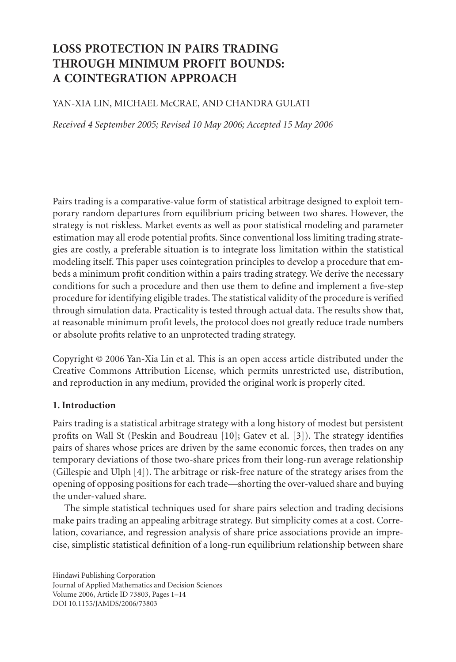# **LOSS PROTECTION IN PAIRS TRADING THROUGH MINIMUM PROFIT BOUNDS: A COINTEGRATION APPROACH**

# YAN-XIA LIN, MICHAEL McCRAE, AND CHANDRA GULATI

*Received 4 September 2005; Revised 10 May 2006; Accepted 15 May 2006*

Pairs trading is a comparative-value form of statistical arbitrage designed to exploit temporary random departures from equilibrium pricing between two shares. However, the strategy is not riskless. Market events as well as poor statistical modeling and parameter estimation may all erode potential profits. Since conventional loss limiting trading strategies are costly, a preferable situation is to integrate loss limitation within the statistical modeling itself. This paper uses cointegration principles to develop a procedure that embeds a minimum profit condition within a pairs trading strategy. We derive the necessary conditions for such a procedure and then use them to define and implement a five-step procedure for identifying eligible trades. The statistical validity of the procedure is verified through simulation data. Practicality is tested through actual data. The results show that, at reasonable minimum profit levels, the p[roto](#page-13-0)col does not g[rea](#page-12-0)tly reduce trade numbers or absolute profits relative to an unprotected trading strategy.

Copyright © 2006 Ya[n-](#page-12-1)Xia Lin et al. This is an open access article distributed under the Creative Commons Attribution License, which permits unrestricted use, distribution, and reproduction in any medium, provided the original work is properly cited.

# **1. Introduction**

Pairs trading is a statistical arbitrage strategy with a long history of modest but persistent profits on Wall St (Peskin and Boudreau [10]; Gatev et al. [3]). The strategy identifies pairs of shares whose prices are driven by the same economic forces, then trades on any temporary deviations of those two-share prices from their long-run average relationship (Gillespie and Ulph [4]). The arbitrage or risk-free nature of the strategy arises from the opening of opposing positions f[or](#page-12-2) each trade—shorting the over-valued share and buying the under-valued share.

The simple statistical techniques used for share pairs selection and trading decisions make pairs trading an appealing arbitrage strategy. But simplicity comes at a cost. Correlation, covariance, and regression analysis of share price associations provide an imprecise, simplistic statistical definition of a long-run equilibrium relationship between share

Hindawi Publishing Corporation Journal of Applied Mathematics and Decision Sciences Volume 2006, Article ID 73803, Pages 1–14 DOI 10.1155/JAMDS/2006/73803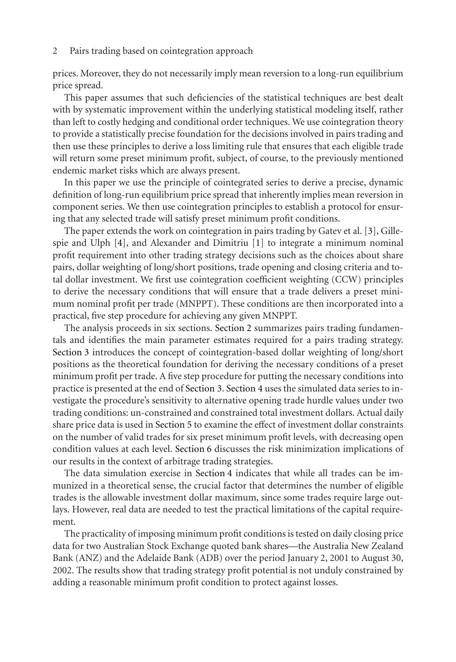prices. Moreover, they do not necessarily imply mean reversion to a long-run equilibrium price spread.

This paper assumes that such deficiencies of the statistical techniques are best dealt with by systematic improvement within the underlying statistical modeling itself, rather than left to costly hedging and conditional order techniques. We use cointegrati[on](#page-12-0) theory to provide a stat[ist](#page-12-1)ically precise foundation for the [de](#page-12-3)cisions involved in pairs trading and then use these principles to derive a loss limiting rule that ensures that each eligible trade will return some preset minimum profit, subject, of course, to the previously mentioned endemic market risks which are always present.

In this paper we use the principle of cointegrated series to derive a precise, dynamic definition of long-run equilibrium price spread that inherently implies mean reversion in component series. We then use cointegration principles to establish a protocol for ensuring that any selected trade will satisfy pr[eset minim](#page-2-0)um profit conditions.

The paper extends the work on cointegration in pairs trading by Gatev et al. [3], Gille[spie and](#page-2-1) Ulph [4], and Alexander and Dimitriu [1] to integrate a minimum nominal profit requirement into other trading strategy decisions such as the choices about share pairs, dollar weighting of long/short positions, trade opening and closing criteria and total dollar investment. We first us[e cointegr](#page-2-1)[ation coe](#page-6-0)fficient weighting (CCW) principles to derive the necessary conditions that will ensure that a trade delivers a preset minimum nominal profit per trade (MNPPT). These conditions are then incorporated into a practical, five step proced[ure for ach](#page-8-0)ieving any given MNPPT.

The analysis proceeds in six sections. Section 2 summarizes pairs trading fundamentals and identifies the main p[arameter](#page-9-0) estimates required for a pairs trading strategy. Section 3 introduces the concept of cointegration-based dollar weighting of long/short positions as the theoretical foundat[ion for de](#page-6-0)riving the necessary conditions of a preset minimum profit per trade. A five step procedure for putting the necessary conditions into practice is presented at the end of Section 3. Section 4 uses the simulated data series to investigate the procedure's sensitivity to alternative opening trade hurdle values under two trading conditions: un-constrained and constrained total investment dollars. Actual daily share price data is used in Section 5 to examine the effect of investment dollar constraints on the number of valid trades for six preset minimum profit levels, with decreasing open condition values at each level. Section 6 discusses the risk minimization implications of our results in the context of arbitrage trading strategies.

The data simulation exercise in Section 4 indicates that while all trades can be immunized in a theoretical sense, the crucial factor that determines the number of eligible trades is the allowable investment dollar maximum, since some trades require large outlays. However, real data are needed to test the practical limitations of the capital requirement.

The practicality of imposing minimum profit conditions is tested on daily closing price data for two Australian Stock Exchange quoted bank shares—the Australia New Zealand Bank (ANZ) and the Adelaide Bank (ADB) over the period January 2, 2001 to August 30, 2002. The results show that trading strategy profit potential is not unduly constrained by adding a reasonable minimum profit condition to protect against losses.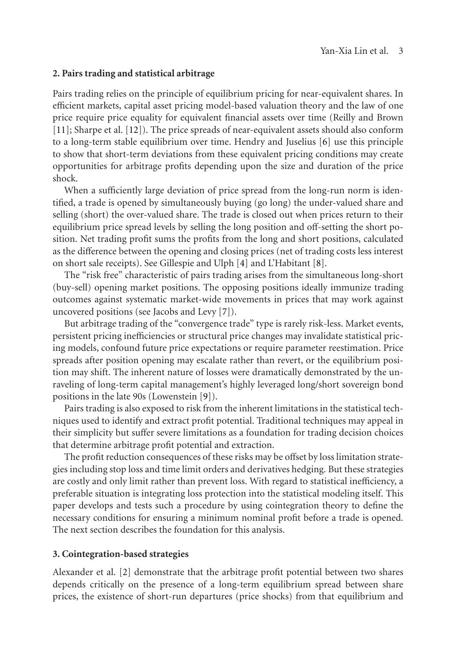# Yan-Xia Lin et al. 3

# <span id="page-2-0"></span>**2. Pairs trading and statistical arbitrage**

Pairs trading relies on the principle of equilibrium pricing for near-equivalent shares. In efficient markets, capital asset pricing model-based valuation theory and the law of one price require price equality for equivalent financial assets over time (Reilly and Brown [11]; Sharpe et al. [12]). The price spreads of near-equivalent assets should also conform to a long-term stable equilibrium over time. Hendry and Juselius [6] use this principle to show that short-term deviations from these [e](#page-12-1)quivalent pricing [co](#page-13-1)nditions may create opportunities for arbitrage profits depending upon the size and duration of the price shock.

When a sufficiently large deviation of price spread from the long-run norm is identified, a trade is opened by simultaneousl[y b](#page-13-2)uying (go long) the under-valued share and selling (short) the over-valued share. The trade is closed out when prices return to their equilibrium price spread levels by selling the long position and off-setting the short position. Net trading profit sums the profits from the long and short positions, calculated as the difference between the opening and closing prices (net of trading costs less interest on short sale receipts). See Gillespie and Ulph [4] and L'Habitant [8].

The "risk free" characteristic of pairs trading arises from the simultaneous long-short (buy-sell) opening market positions. [T](#page-13-3)he opposing positions ideally immunize trading outcomes against systematic market-wide movements in prices that may work against uncovered positions (see Jacobs and Levy [7]).

But arbitrage trading of the "convergence trade" type is rarely risk-less. Market events, persistent pricing inefficiencies or structural price changes may invalidate statistical pricing models, confound future price expectations or require parameter reestimation. Price spreads after position opening may escalate rather than revert, or the equilibrium position may shift. The inherent nature of losses were dramatically demonstrated by the unraveling of long-term capital management's highly leveraged long/short sovereign bond positions in the late 90s (Lowenstein [9]).

Pairs trading is also exposed to risk from the inherent limitations in the statistical techniques used to identify and extract profit potential. Traditional techniques may appeal in their simplicity but suffer severe limitations as a foundation for trading decision choices that determine arbitrage profit potential and extraction.

<span id="page-2-1"></span>The profit red[uc](#page-12-4)tion consequences of these risks may be offset by loss limitation strategies including stop loss and time limit orders and derivatives hedging. But these strategies are costly and only limit rather than prevent loss. With regard to statistical inefficiency, a preferable situation is integrating loss protection into the statistical modeling itself. This paper develops and tests such a procedure by using cointegration theory to define the necessary conditions for ensuring a minimum nominal profit before a trade is opened. The next section describes the foundation for this analysis.

### **3. Cointegration-based strategies**

Alexander et al. [2] demonstrate that the arbitrage profit potential between two shares depends critically on the presence of a long-term equilibrium spread between share prices, the existence of short-run departures (price shocks) from that equilibrium and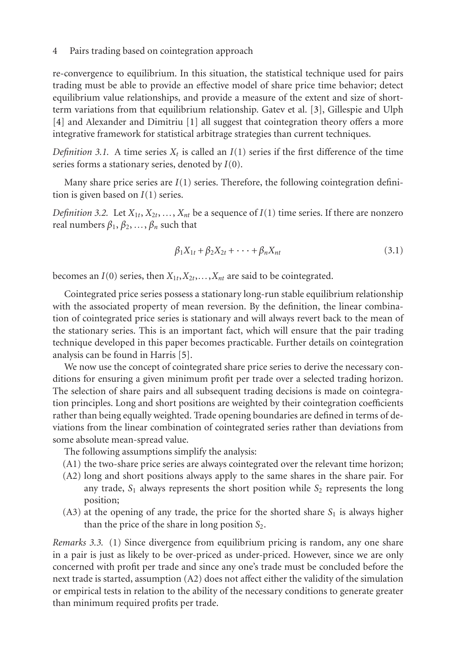re-convergence to equilibrium. In this situation, the statistical technique used for pairs trading must be able to provide an effective model of share price time behavior; detect equilibrium value relationships, and provide a measure of the extent and size of shortterm variations from that equilibrium relationship. Gatev et al. [3], Gillespie and Ulph [4] and Alexander and Dimitriu [1] all suggest that cointegration theory offers a more integrative framework for statistical arbitrage strategies than current techniques.

*Definition 3.1.* A time series  $X_t$  is called an  $I(1)$  series if the first difference of the time series forms a stationary series, denoted by *I*(0).

Many share price series are *I*(1) series. Therefore, the following cointegration definition is given based on *I*(1) series.

*Definition 3.2.* Let  $X_{1t}, X_{2t}, \ldots, X_{nt}$  be a sequence of  $I(1)$  time series. If there are nonzero real numbers  $\beta_1, \beta_2, ..., \beta_n$  such that

$$
\beta_1 X_{1t} + \beta_2 X_{2t} + \cdots + \beta_n X_{nt} \tag{3.1}
$$

becomes an  $I(0)$  series, then  $X_{1t}, X_{2t}, \ldots, X_{nt}$  are said to be cointegrated.

Cointegrated price series possess a stationary long-run stable equilibrium relationship with the associated property of mean reversion. By the definition, the linear combination of cointegrated price series is stationary and will always revert back to the mean of the stationary series. This is an important fact, which will ensure that the pair trading technique developed in this paper becomes practicable. Further details on cointegration analysis can be found in Harris [5].

We now use the concept of cointegrated share price series to derive the necessary conditions for ensuring a given minimum profit per trade over a selected trading horizon. The selection of share pairs and all subsequent trading decisions is made on cointegration principles. Long and short positions are weighted by their cointegration coefficients rather than being equally weighted. Trade opening boundaries are defined in terms of deviations from the linear combination of cointegrated series rather than deviations from some absolute mean-spread value.

The following assumptions simplify the analysis:

- (A1) the two-share price series are always cointegrated over the relevant time horizon;
- (A2) long and short positions always apply to the same shares in the share pair. For any trade,  $S_1$  always represents the short position while  $S_2$  represents the long position;
- (A3) at the opening of any trade, the price for the shorted share  $S_1$  is always higher than the price of the share in long position *S*2.

*Remarks 3.3.* (1) Since divergence from equilibrium pricing is random, any one share in a pair is just as likely to be over-priced as under-priced. However, since we are only concerned with profit per trade and since any one's trade must be concluded before the next trade is started, assumption (A2) does not affect either the validity of the simulation or empirical tests in relation to the ability of the necessary conditions to generate greater than minimum required profits per trade.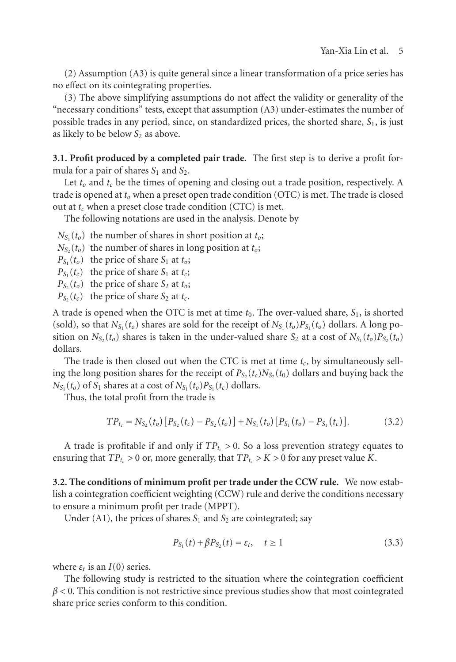(2) Assumption (A3) is quite general since a linear transformation of a price series has no effect on its cointegrating properties.

(3) The above simplifying assumptions do not affect the validity or generality of the "necessary conditions" tests, except that assumption (A3) under-estimates the number of possible trades in any period, since, on standardized prices, the shorted share, *S*1, is just as likely to be below  $S_2$  as above.

**3.1. Profit produced by a completed pair trade.** The first step is to derive a profit formula for a pair of shares  $S_1$  and  $S_2$ .

Let  $t_0$  and  $t_c$  be the times of opening and closing out a trade position, respectively. A trade is opened at *to* when a preset open trade condition (OTC) is met. The trade is closed out at  $t_c$  when a preset close trade condition (CTC) is met.

The following notations are used in the analysis. Denote by

 $N_{S_1}(t_o)$  the number of shares in short position at  $t_o$ ;

 $N_{S_2}(t_o)$  the number of shares in long position at  $t_o$ ;

 $P_{S_1}(t_o)$  the price of share  $S_1$  at  $t_o$ ;

 $P_{S_1}(t_c)$  the price of share  $S_1$  at  $t_c$ ;

 $P_{S_2}(t_o)$  the price of share  $S_2$  at  $t_o$ ;

 $P_{S_2}(t_c)$  the price of share  $S_2$  at  $t_c$ .

A trade is opened when the OTC is met at time *t*0. The over-valued share, *S*1, is shorted (sold), so that  $N_{S_1}(t_o)$  shares are sold for the receipt of  $N_{S_1}(t_o)P_{S_1}(t_o)$  dollars. A long position on  $N_{S_2}(t_o)$  shares is taken in the under-valued share  $S_2$  at a cost of  $N_{S_1}(t_o)P_{S_2}(t_o)$ dollars.

The trade is then closed out when the CTC is met at time  $t_c$ , by simultaneously selling the long position shares for the receipt of  $P_{S_2}(t_c)N_{S_2}(t_0)$  dollars and buying back the  $N_{S_1}(t_o)$  of  $S_1$  shares at a cost of  $N_{S_1}(t_o)P_{S_1}(t_o)$  dollars.

Thus, the total profit from the trade is

$$
TP_{t_c} = N_{S_2}(t_o) [P_{S_2}(t_c) - P_{S_2}(t_o)] + N_{S_1}(t_o) [P_{S_1}(t_o) - P_{S_1}(t_c)].
$$
\n(3.2)

A trade is profitable if and only if  $TP_{t_c} > 0$ . So a loss prevention strategy equates to ensuring that  $TP_{t_c} > 0$  or, more generally, that  $TP_{t_c} > K > 0$  for any preset value *K*.

**3.2. The conditions of minimum profit per trade under the CCW rule.** We now establish a cointegration coefficient weighting (CCW) rule and derive the conditions necessary to ensure a minimum profit per trade (MPPT).

Under (A1), the prices of shares  $S_1$  and  $S_2$  are cointegrated; say

$$
P_{S_1}(t) + \beta P_{S_2}(t) = \varepsilon_t, \quad t \ge 1
$$
\n(3.3)

where  $\varepsilon_t$  is an  $I(0)$  series.

The following study is restricted to the situation where the cointegration coefficient *β <* 0. This condition is not restrictive since previous studies show that most cointegrated share price series conform to this condition.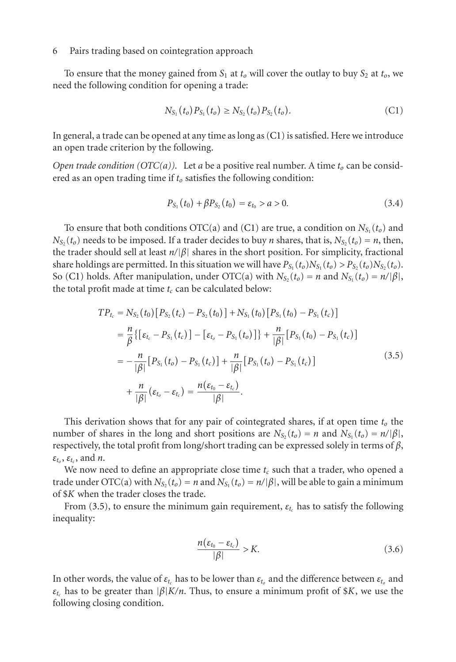To ensure that the money gained from  $S_1$  at  $t_o$  will cover the outlay to buy  $S_2$  at  $t_o$ , we need the following condition for opening a trade:

<span id="page-5-0"></span>
$$
N_{S_1}(t_o)P_{S_1}(t_o) \ge N_{S_2}(t_o)P_{S_2}(t_o). \tag{C1}
$$

In general, a trade can be opened at any time as long as (C1) is satisfied. Here we introduce an open trade criterion by the following.

*Op[en tr](#page-5-0)ade condition (OTC(a)).* Let *a* be a positive real number. A time  $t_0$  can be considered as an open trading time if  $t<sub>o</sub>$  satisfies the following condition:

$$
P_{S_1}(t_0) + \beta P_{S_2}(t_0) = \varepsilon_{t_0} > a > 0. \tag{3.4}
$$

To ensure that both conditions OTC(a) and (C1) are true, a condition on  $N_{S_1}(t_o)$  and  $N_{S_2}(t_o)$  needs to be imposed. If a trader decides to buy *n* shares, that is,  $N_{S_2}(t_o) = n$ , then, the trader should sell at least *n/*|*β*| shares in the short position. For simplicity, fractional share holdings are permitted. In this situation we will have  $P_{S_1}(t_o)N_{S_1}(t_o) > P_{S_2}(t_o)N_{S_2}(t_o)$ . So (C1) holds. After manipulation, under OTC(a) with  $N_{S_2}(t_o) = n$  and  $N_{S_1}(t_o) = n/|\beta|$ , the total profit made at time  $t_c$  can be calculated below:

$$
TP_{t_c} = N_{S_2}(t_0) [P_{S_2}(t_c) - P_{S_2}(t_0)] + N_{S_1}(t_0) [P_{S_1}(t_0) - P_{S_1}(t_c)]
$$
  
\n
$$
= \frac{n}{\beta} \{ [\varepsilon_{t_c} - P_{S_1}(t_c)] - [\varepsilon_{t_o} - P_{S_1}(t_o)] \} + \frac{n}{|\beta|} [P_{S_1}(t_0) - P_{S_1}(t_c)]
$$
  
\n
$$
= -\frac{n}{|\beta|} [P_{S_1}(t_o) - P_{S_1}(t_c)] + \frac{n}{|\beta|} [P_{S_1}(t_o) - P_{S_1}(t_c)]
$$
  
\n
$$
+ \frac{n}{|\beta|} (\varepsilon_{t_o} - \varepsilon_{t_c}) = \frac{n(\varepsilon_{t_o} - \varepsilon_{t_c})}{|\beta|}. \qquad (3.5)
$$

This derivation shows that for any pair of cointegrated shares, if at open time  $t<sub>o</sub>$  the number of shares in the long and short positions are  $N_{S_2}(t_o) = n$  and  $N_{S_1}(t_o) = n/|\beta|$ , respectively, the total profit from long/short trading can be expressed solely in terms of *β*,  $\varepsilon_{t_0}, \varepsilon_{t_0}$ , and *n*.

We now need to define an appropriate close time  $t_c$  such that a trader, who opened a trade under  $\text{OTC}(a)$  with  $N_{S_2}(t_o) = n$  and  $N_{S_1}(t_o) = n/|\beta|$ , will be able to gain a minimum of \$*K* when the trader closes the trade.

From (3.5), to ensure the minimum gain requirement,  $\varepsilon_{t_c}$  has to satisfy the following inequality:

$$
\frac{n(\varepsilon_{t_0} - \varepsilon_{t_c})}{|\beta|} > K.
$$
\n(3.6)

In other words, the value of  $\varepsilon_{t_c}$  has to be lower than  $\varepsilon_{t_o}$  and the difference between  $\varepsilon_{t_o}$  and  $\varepsilon_{t_c}$  has to be greater than  $|\beta|K/n$ . Thus, to ensure a minimum profit of \$*K*, we use the following closing condition.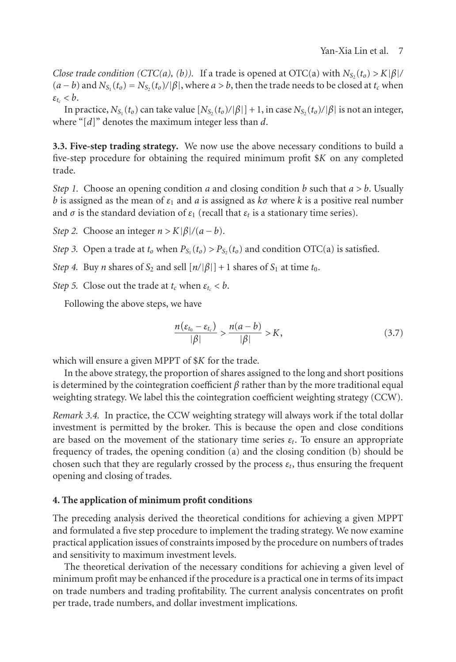*Close trade condition (CTC(a), (b)).* If a trade is opened at OTC(a) with  $N_{S_2}(t_o) > K|\beta|/2$  $(a - b)$  and  $N_{S_1}(t_o) = N_{S_2}(t_o)/|\beta|$ , where  $a > b$ , then the trade needs to be closed at  $t_c$  when  $\varepsilon_t$  < *b*.

In practice,  $N_{S_1}(t_o)$  can take value  $[N_{S_2}(t_o)/|\beta|]+1$ , in case  $N_{S_2}(t_o)/|\beta|$  is not an integer, where "[*d*]" denotes the maximum integer less than *d*.

**3.3. Five-step trading strategy.** We now use the above necessary conditions to build a five-step procedure for obtaining the required minimum profit \$*K* on any completed trade.

*Step 1.* Choose an opening condition *a* and closing condition *b* such that  $a > b$ . Usually *b* is assigned as the mean of  $\varepsilon_1$  and *a* is assigned as  $k\sigma$  where *k* is a positive real number and  $\sigma$  is the standard deviation of  $\varepsilon_1$  (recall that  $\varepsilon_t$  is a stationary time series).

*Step 2.* Choose an integer  $n > K|\beta|/(a - b)$ .

*Step 3.* Open a trade at  $t_0$  when  $P_{S_1}(t_0) > P_{S_2}(t_0)$  and condition OTC(a) is satisfied.

*Step 4.* Buy *n* shares of  $S_2$  and sell  $[n/|\beta|] + 1$  shares of  $S_1$  at time  $t_0$ .

*Step 5.* Close out the trade at  $t_c$  when  $\varepsilon_t < b$ .

Following the above steps, we have

$$
\frac{n(\varepsilon_{t_0} - \varepsilon_{t_c})}{|\beta|} > \frac{n(a - b)}{|\beta|} > K,
$$
\n(3.7)

which will ensure a given MPPT of \$*K* for the trade.

In the above strategy, the proportion of shares assigned to the long and short positions is determined by the cointegration coefficient  $\beta$  rather than by the more traditional equal weighting strategy. We label this the cointegration coefficient weighting strategy (CCW).

*Remark 3.4.* In practice, the CCW weighting strategy will always work if the total dollar investment is permitted by the broker. This is because the open and close conditions are based on the movement of the stationary time series  $\varepsilon_t$ . To ensure an appropriate frequency of trades, the opening condition (a) and the closing condition (b) should be chosen such that they are regularly crossed by the process  $\varepsilon_t$ , thus ensuring the frequent opening and closing of trades.

# <span id="page-6-0"></span>**4. The application of minimum profit conditions**

The preceding analysis derived the theoretical conditions for achieving a given MPPT and formulated a five step procedure to implement the trading strategy. We now examine practical application issues of constraints imposed by the procedure on numbers of trades and sensitivity to maximum investment levels.

The theoretical derivation of the necessary conditions for achieving a given level of minimum profit may be enhanced if the procedure is a practical one in terms of its impact on trade numbers and trading profitability. The current analysis concentrates on profit per trade, trade numbers, and dollar investment implications.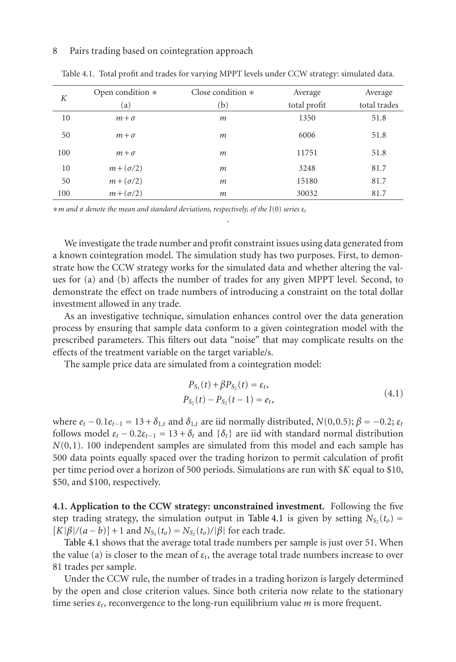| К   | Open condition * | Close condition $*$ | Average      | Average      |
|-----|------------------|---------------------|--------------|--------------|
|     | $\left(a\right)$ | (b)                 | total profit | total trades |
| 10  | $m + \sigma$     | m                   | 1350         | 51.8         |
| 50  | $m + \sigma$     | m                   | 6006         | 51.8         |
| 100 | $m + \sigma$     | $\boldsymbol{m}$    | 11751        | 51.8         |
| 10  | $m+(\sigma/2)$   | m                   | 3248         | 81.7         |
| 50  | $m + (\sigma/2)$ | m                   | 15180        | 81.7         |
| 100 | $m+(\sigma/2)$   | $\boldsymbol{m}$    | 30032        | 81.7         |

<span id="page-7-0"></span>Table 4.1. Total profit and trades for varying MPPT levels under CCW strategy: simulated data.

∗*m and σ denote the mean and standard deviations, respectively, of the I*(0) *series εt*

We investigate the trade number and profit constraint issues using data generated from a known cointegration model. The simulation study has two purposes. First, to demonstrate how the CCW strategy works for the simulated data and whether altering the values for (a) and (b) affects the number of trades for any given MPPT level. Second, to demonstrate the effect on trade numbers of introducing a constraint on the total dollar investment allowed in any trade.

.

As an investigative technique, simulation enhances control over the data generation process by ensuring that sample data conform to a given cointegration model with the prescribed parameters. This filters out data "noise" that may complicate results on the effects of the treatment variable on the target variable/s.

The sample price data are simulated from a cointegration model:

$$
P_{S_1}(t) + \beta P_{S_2}(t) = \varepsilon_t, P_{S_2}(t) - P_{S_2}(t-1) = e_t,
$$
\n(4.1)

where  $e_t$  − 0*.*1 $e_{t-1}$  = 13 +  $\delta_{1,t}$  and  $\delta_{1,t}$  are iid normally distributed, *N*(0,0*.5*);  $\beta$  = −0*.2*;  $\varepsilon_t$ fol[lows mod](#page-7-0)el  $\varepsilon_t$  − 0.2 $\varepsilon_{t-1}$  = 13 +  $\delta_t$  and { $\delta_t$ } are iid with standard normal distribution *N*(0,1). 100 independent samples are simulated from this model and each sample has 500 data points equally spaced over the trading horizon to permit calculation of profit per time period over a horizon of 500 periods. Simulations are run with \$*K* equal to \$10, \$50, and \$100, respectively.

**4.1. Application to the CCW strategy: unconstrained investment.** Following the five step trading strategy, the simulation output in Table 4.1 is given by setting  $N_{S_2}(t_o)$  =  $[K|\beta|/(a - b)] + 1$  and  $N_{S_1}(t_o) = N_{S_2}(t_o)/|\beta|$  for each trade.

Table 4.1 shows that the average total trade numbers per sample is just over 51. When the value (a) is closer to the mean of  $\varepsilon_t$ , the average total trade numbers increase to over 81 trades per sample.

Under the CCW rule, the number of trades in a trading horizon is largely determined by the open and close criterion values. Since both criteria now relate to the stationary time series  $\varepsilon_t$ , reconvergence to the long-run equilibrium value *m* is more frequent.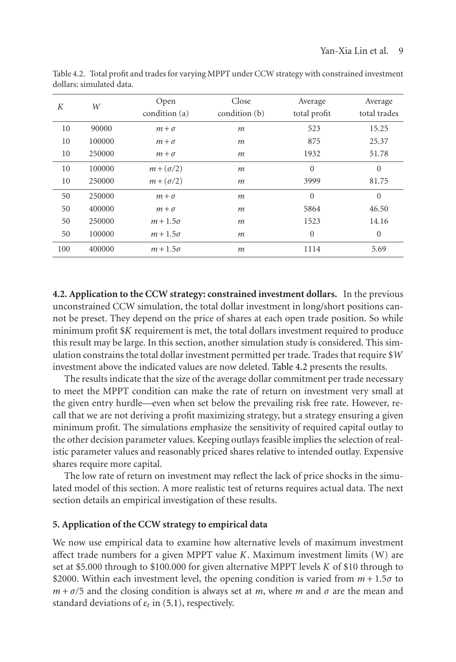Table 4.2. Total profit and trades for varying MPPT under CCW strategy with constrained investment dollars: simulated data. *K W* Open Close Average Average *K* condition (a) condition (b) total profit total trades 10 90000 *m*+*σ m* 523 15*.*25 10 100000 *m*+*σ m* 875 25*.*37 10 250000 *m*+*σ m* 1932 51*.*78 10 100000  $m + (\sigma/2)$  *m* 0 0 10 250000 *m*+ (*σ /*2) *m* 3999 81*.*75 50 250000 *m*+*σ m* 0 0 50 400000 *m*+*σ m* 5864 46*.*50

50 250000 *m*+ 1*.*5*σ m* 1523 14*.*16 50 100000 *m*+ 1*.*5*σ m* 0 0 100 400000 *m*+ 1*.*5*σ m* 1114 5*.*69

**4.2. Application to the CCW strategy: constrained investment dollars.** In the previous unconstrained CCW simulation, the total dollar investment in long/short positions cannot be preset. They depend on the price of shares at each open trade position. So while minimum profit \$*K* requirement is met, the total dollars investment required to produce this result may be large. In this section, another simulation study is considered. This simulation constrains the total dollar investment permitted per trade. Trades that require \$*W* investment above the indicated values are now deleted. Table 4.2 presents the results.

<span id="page-8-0"></span>The results indicate that the size of the average dollar commitment per trade necessary to meet the MPPT condition can make the rate of return on investment very small at the given entry hurdle—even when set below the prevailing risk free rate. However, recall that we are not deriving a profit maximizing strategy, but a strategy ensuring a given minimum profit. The simulations emphasize the sensitivity of required capital outlay to the other decision parameter values. Keeping outlays feasible implies the selection of realistic parameter values and reasonably priced shares relative to intended outlay. Expensive shares require more capital.

The low rate of return on investment may reflect the lack of price shocks in the simulated model of this section. A more realistic test of returns requires actual data. The next section details an empirical i[nve](#page-9-1)stigation of these results.

### **5. Application of the CCW strategy to empirical data**

We now use empirical data to examine how alternative levels of maximum investment affect trade numbers for a given MPPT value *K*. Maximum investment limits (W) are set at \$5*.*000 through to \$100*.*000 for given alternative MPPT levels *K* of \$10 through to \$2000. Within each investment level, the opening condition is varied from *m* + 1*.*5*σ* to *m* + *σ /*5 and the closing condition is always set at *m*, where *m* and *σ* are the mean and standard deviations of  $\varepsilon_t$  in (5.1), respectively.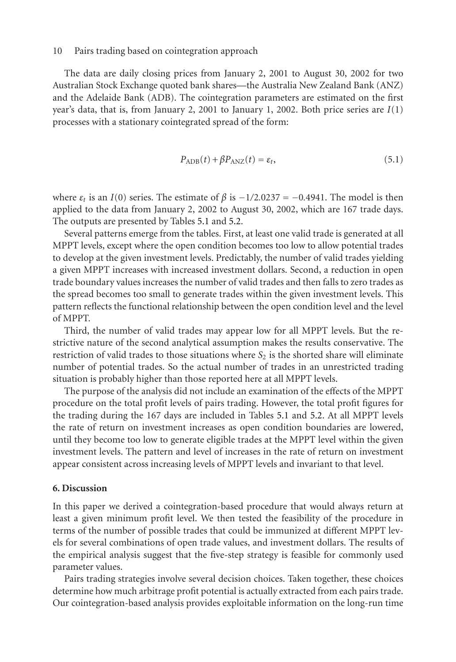The data are daily closing prices from January 2, 2001 to August 30, 2002 for two Australian Stock Exchange quoted bank shares—the Australia New Zealand Bank (ANZ) and the Adelaide Bank (ADB). The cointegration parameters are estimated on the first year's data, that is, from January 2, [200](#page-10-0)1 t[o Jan](#page-11-0)uary 1, 2002. Both price series are *I*(1) processes with a stationary cointegrated spread of the form:

<span id="page-9-1"></span>
$$
P_{\rm ADB}(t) + \beta P_{\rm ANZ}(t) = \varepsilon_t, \tag{5.1}
$$

where  $\varepsilon_t$  is an *I*(0) series. The estimate of  $\beta$  is  $-1/2.0237 = -0.4941$ . The model is then applied to the data from January 2, 2002 to August 30, 2002, which are 167 trade days. The outputs are presented by Tables 5.1 and 5.2.

Several patterns emerge from the tables. First, at least one valid trade is generated at all MPPT levels, except where the open condition becomes too low to allow potential trades to develop at the given investment levels. Predictably, the number of valid trades yielding a given MPPT increases with increased investment dollars. Second, a reduction in open trade boundary values increases the number of valid trades and then falls to zero trades as the spread becomes too small to generate trades within the given investment levels. This pattern reflects the functional relationship between the [open](#page-10-0) con[ditio](#page-11-0)n level and the level of MPPT.

Third, the number of valid trades may appear low for all MPPT levels. But the restrictive nature of the second analytical assumption makes the results conservative. The restriction of valid trades to those situations where  $S_2$  is the shorted share will eliminate number of potential trades. So the actual number of trades in an unrestricted trading situation is probably higher than those reported here at all MPPT levels.

<span id="page-9-0"></span>The purpose of the analysis did not include an examination of the effects of the MPPT procedure on the total profit levels of pairs trading. However, the total profit figures for the trading during the 167 days are included in Tables 5.1 and 5.2. At all MPPT levels the rate of return on investment increases as open condition boundaries are lowered, until they become too low to generate eligible trades at the MPPT level within the given investment levels. The pattern and level of increases in the rate of return on investment appear consistent across increasing levels of MPPT levels and invariant to that level.

### **6. Discussion**

In this paper we derived a cointegration-based procedure that would always return at least a given minimum profit level. We then tested the feasibility of the procedure in terms of the number of possible trades that could be immunized at different MPPT levels for several combinations of open trade values, and investment dollars. The results of the empirical analysis suggest that the five-step strategy is feasible for commonly used parameter values.

Pairs trading strategies involve several decision choices. Taken together, these choices determine how much arbitrage profit potential is actually extracted from each pairs trade. Our cointegration-based analysis provides exploitable information on the long-run time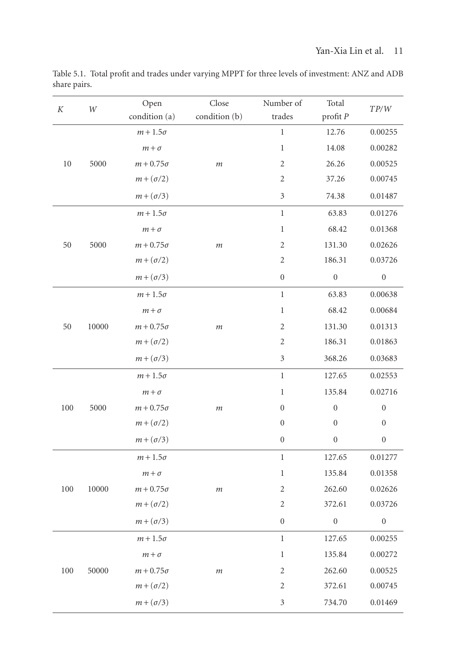| К       | $\ensuremath{W}$ | Open<br>condition (a) | Close<br>condition (b) | Number of<br>trades | Total<br>profit P | $TP/W$           |
|---------|------------------|-----------------------|------------------------|---------------------|-------------------|------------------|
| 10      | 5000             | $m+1.5\sigma$         | m                      | $\,1\,$             | 12.76             | 0.00255          |
|         |                  | $m + \sigma$          |                        | $\,1\,$             | 14.08             | 0.00282          |
|         |                  | $m + 0.75\sigma$      |                        | 2                   | 26.26             | 0.00525          |
|         |                  | $m+(\sigma/2)$        |                        | $\mathfrak{2}$      | 37.26             | 0.00745          |
|         |                  | $m+(\sigma/3)$        |                        | $\mathfrak z$       | 74.38             | 0.01487          |
|         |                  | $m+1.5\sigma$         | m                      | $\,1\,$             | 63.83             | 0.01276          |
|         |                  | $m + \sigma$          |                        | $\,1\,$             | 68.42             | 0.01368          |
| $50\,$  | 5000             | $m + 0.75\sigma$      |                        | $\mathfrak{2}$      | 131.30            | 0.02626          |
|         |                  | $m+(\sigma/2)$        |                        | $\mathfrak{2}$      | 186.31            | 0.03726          |
|         |                  | $m+(\sigma/3)$        |                        | $\boldsymbol{0}$    | $\boldsymbol{0}$  | $\boldsymbol{0}$ |
|         |                  | $m+1.5\sigma$         |                        | $\,1$               | 63.83             | 0.00638          |
|         | 10000            | $m+\sigma$            |                        | $\,1\,$             | 68.42             | 0.00684          |
| $50\,$  |                  | $m + 0.75\sigma$      | m                      | $\mathfrak{2}$      | 131.30            | 0.01313          |
|         |                  | $m + (\sigma/2)$      |                        | $\sqrt{2}$          | 186.31            | 0.01863          |
|         |                  | $m+(\sigma/3)$        |                        | $\mathfrak{Z}$      | 368.26            | 0.03683          |
|         | 5000             | $m+1.5\sigma$         | m                      | $\,1\,$             | 127.65            | 0.02553          |
|         |                  | $m+\sigma$            |                        | $\,1\,$             | 135.84            | 0.02716          |
| 100     |                  | $m + 0.75\sigma$      |                        | $\boldsymbol{0}$    | $\boldsymbol{0}$  | $\boldsymbol{0}$ |
|         |                  | $m + (\sigma/2)$      |                        | $\mathbf{0}$        | $\boldsymbol{0}$  | $\boldsymbol{0}$ |
|         |                  | $m+(\sigma/3)$        |                        | $\boldsymbol{0}$    | $\boldsymbol{0}$  | $\boldsymbol{0}$ |
|         | 10000            | $m+1.5\sigma$         | $\,m$                  | $\,1$               | 127.65            | 0.01277          |
|         |                  | $m + \sigma$          |                        | $\,1\,$             | 135.84            | 0.01358          |
| $100\,$ |                  | $m + 0.75\sigma$      |                        | 2                   | 262.60            | 0.02626          |
|         |                  | $m+(\sigma/2)$        |                        | $\overline{c}$      | 372.61            | 0.03726          |
|         |                  | $m + (\sigma/3)$      |                        | $\boldsymbol{0}$    | $\boldsymbol{0}$  | $\boldsymbol{0}$ |
| 100     | 50000            | $m+1.5\sigma$         | $\,m$                  | $\mathbf{1}$        | 127.65            | 0.00255          |
|         |                  | $m+\sigma$            |                        | $\mathbf{1}$        | 135.84            | 0.00272          |
|         |                  | $m + 0.75\sigma$      |                        | $\overline{c}$      | 262.60            | 0.00525          |
|         |                  | $m + (\sigma/2)$      |                        | $\mathfrak{2}$      | 372.61            | 0.00745          |
|         |                  | $m + (\sigma/3)$      |                        | 3                   | 734.70            | 0.01469          |

<span id="page-10-0"></span>Table 5.1. Total profit and trades under varying MPPT for three levels of investment: ANZ and ADB share pairs.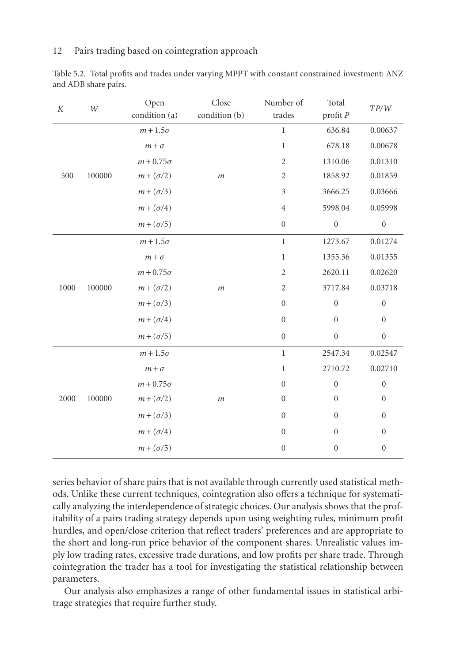| K    | W      | Open             | Close         | Number of        | Total            | TP/W             |
|------|--------|------------------|---------------|------------------|------------------|------------------|
|      |        | condition (a)    | condition (b) | trades           | profit P         |                  |
| 500  |        | $m+1.5\sigma$    |               | 1                | 636.84           | 0.00637          |
|      | 100000 | $m + \sigma$     | m             | $\mathbf{1}$     | 678.18           | 0.00678          |
|      |        | $m + 0.75\sigma$ |               | $\overline{2}$   | 1310.06          | 0.01310          |
|      |        | $m + (\sigma/2)$ |               | $\overline{2}$   | 1858.92          | 0.01859          |
|      |        | $m+(\sigma/3)$   |               | 3                | 3666.25          | 0.03666          |
|      |        | $m + (\sigma/4)$ |               | $\overline{4}$   | 5998.04          | 0.05998          |
|      |        | $m + (\sigma/5)$ |               | $\mathbf{0}$     | $\boldsymbol{0}$ | $\boldsymbol{0}$ |
|      | 100000 | $m+1.5\sigma$    |               | $\mathbf{1}$     | 1273.67          | 0.01274          |
|      |        | $m + \sigma$     | m             | $\mathbf{1}$     | 1355.36          | 0.01355          |
|      |        | $m + 0.75\sigma$ |               | $\overline{2}$   | 2620.11          | 0.02620          |
| 1000 |        | $m + (\sigma/2)$ |               | $\overline{2}$   | 3717.84          | 0.03718          |
|      |        | $m+(\sigma/3)$   |               | $\mathbf{0}$     | $\mathbf{0}$     | $\mathbf{0}$     |
|      |        | $m + (\sigma/4)$ |               | $\mathbf{0}$     | $\mathbf{0}$     | $\mathbf{0}$     |
|      |        | $m + (\sigma/5)$ |               | $\boldsymbol{0}$ | $\boldsymbol{0}$ | $\boldsymbol{0}$ |
| 2000 | 100000 | $m+1.5\sigma$    | m             | $\mathbf{1}$     | 2547.34          | 0.02547          |
|      |        | $m + \sigma$     |               | $\mathbf{1}$     | 2710.72          | 0.02710          |
|      |        | $m + 0.75\sigma$ |               | $\mathbf{0}$     | $\boldsymbol{0}$ | $\boldsymbol{0}$ |
|      |        | $m+(\sigma/2)$   |               | $\boldsymbol{0}$ | $\boldsymbol{0}$ | $\mathbf{0}$     |
|      |        | $m + (\sigma/3)$ |               | $\boldsymbol{0}$ | $\mathbf{0}$     | $\boldsymbol{0}$ |
|      |        | $m + (\sigma/4)$ |               | $\boldsymbol{0}$ | $\boldsymbol{0}$ | $\mathbf{0}$     |
|      |        | $m + (\sigma/5)$ |               | $\boldsymbol{0}$ | $\boldsymbol{0}$ | $\mathbf{0}$     |
|      |        |                  |               |                  |                  |                  |

<span id="page-11-0"></span>Table 5.2. Total profits and trades under varying MPPT with constant constrained investment: ANZ and ADB share pairs.

series behavior of share pairs that is not available through currently used statistical methods. Unlike these current techniques, cointegration also offers a technique for systematically analyzing the interdependence of strategic choices. Our analysis shows that the profitability of a pairs trading strategy depends upon using weighting rules, minimum profit hurdles, and open/close criterion that reflect traders' preferences and are appropriate to the short and long-run price behavior of the component shares. Unrealistic values imply low trading rates, excessive trade durations, and low profits per share trade. Through cointegration the trader has a tool for investigating the statistical relationship between parameters.

Our analysis also emphasizes a range of other fundamental issues in statistical arbitrage strategies that require further study.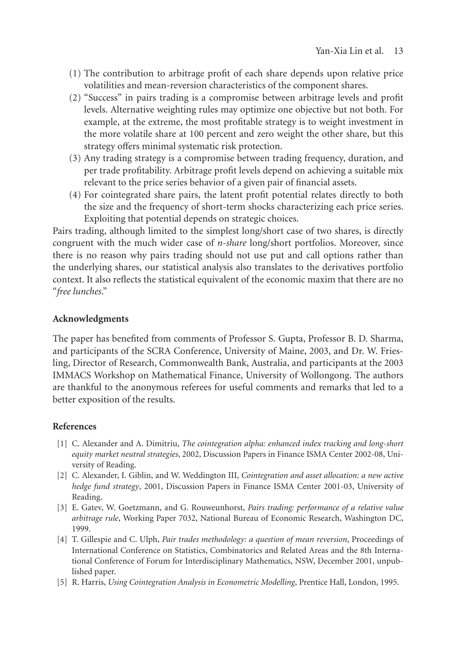- (1) The contribution to arbitrage profit of each share depends upon relative price volatilities and mean-reversion characteristics of the component shares.
- (2) "Success" in pairs trading is a compromise between arbitrage levels and profit levels. Alternative weighting rules may optimize one objective but not both. For example, at the extreme, the most profitable strategy is to weight investment in the more volatile share at 100 percent and zero weight the other share, but this strategy offers minimal systematic risk protection.
- (3) Any trading strategy is a compromise between trading frequency, duration, and per trade profitability. Arbitrage profit levels depend on achieving a suitable mix relevant to the price series behavior of a given pair of financial assets.
- (4) For cointegrated share pairs, the latent profit potential relates directly to both the size and the frequency of short-term shocks characterizing each price series. Exploiting that potential depends on strategic choices.

Pairs trading, although limited to the simplest long/short case of two shares, is directly congruent with the much wider case of *n-share* long/short portfolios. Moreover, since there is no reason why pairs trading should not use put and call options rather than the underlying shares, our statistical analysis also translates to the derivatives portfolio context. It also reflects the statistical equivalent of the economic maxim that there are no "*free lunches*."

# **Acknowledgments**

The paper has benefited from comments of Professor S. Gupta, Professor B. D. Sharma, and participants of the SCRA Conference, University of Maine, 2003, and Dr. W. Friesling, Director of Research, Commonwealth Bank, Australia, and participants at the 2003 IMMACS Workshop on Mathematical Finance, University of Wollongong. The authors are thankful to the anonymous referees for useful comments and remarks that led to a better exposition of the results.

# <span id="page-12-3"></span><span id="page-12-2"></span>**References**

- [1] C. Alexander and A. Dimitriu, *The cointegration alpha: enhanced index tracking and long-short equity market neutral strategies*, 2002, Discussion Papers in Finance ISMA Center 2002-08, University of Reading.
- <span id="page-12-4"></span>[2] C. Alexander, I. Giblin, and W. Weddington III, *Cointegration and asset allocation: a new active hedge fund strategy*, 2001, Discussion Papers in Finance ISMA Center 2001-03, University of Reading.
- <span id="page-12-0"></span>[3] E. Gatev, W. Goetzmann, and G. Rouweunhorst, *Pairs trading: performance of a relative value arbitrage rule*, Working Paper 7032, National Bureau of Economic Research, Washington DC, 1999.
- <span id="page-12-1"></span>[4] T. Gillespie and C. Ulph, *Pair trades methodology: a question of mean reversion*, Proceedings of International Conference on Statistics, Combinatorics and Related Areas and the 8th International Conference of Forum for Interdisciplinary Mathematics, NSW, December 2001, unpublished paper.
- <span id="page-12-5"></span>[5] R. Harris, *Using Cointegration Analysis in Econometric Modelling*, Prentice Hall, London, 1995.